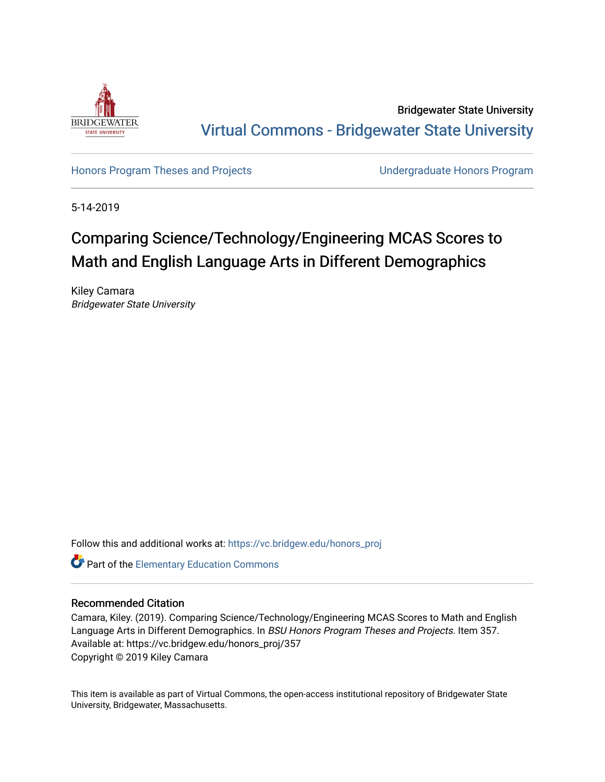

Bridgewater State University [Virtual Commons - Bridgewater State University](https://vc.bridgew.edu/) 

[Honors Program Theses and Projects](https://vc.bridgew.edu/honors_proj) [Undergraduate Honors Program](https://vc.bridgew.edu/honors) 

5-14-2019

# Comparing Science/Technology/Engineering MCAS Scores to Math and English Language Arts in Different Demographics

Kiley Camara Bridgewater State University

Follow this and additional works at: [https://vc.bridgew.edu/honors\\_proj](https://vc.bridgew.edu/honors_proj?utm_source=vc.bridgew.edu%2Fhonors_proj%2F357&utm_medium=PDF&utm_campaign=PDFCoverPages)

Part of the [Elementary Education Commons](http://network.bepress.com/hgg/discipline/1378?utm_source=vc.bridgew.edu%2Fhonors_proj%2F357&utm_medium=PDF&utm_campaign=PDFCoverPages) 

#### Recommended Citation

Camara, Kiley. (2019). Comparing Science/Technology/Engineering MCAS Scores to Math and English Language Arts in Different Demographics. In BSU Honors Program Theses and Projects. Item 357. Available at: https://vc.bridgew.edu/honors\_proj/357 Copyright © 2019 Kiley Camara

This item is available as part of Virtual Commons, the open-access institutional repository of Bridgewater State University, Bridgewater, Massachusetts.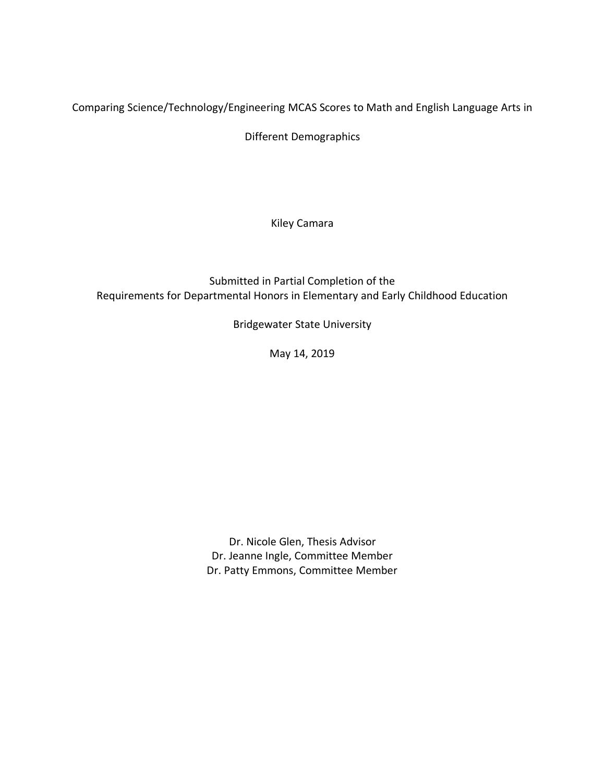Comparing Science/Technology/Engineering MCAS Scores to Math and English Language Arts in

Different Demographics

Kiley Camara

Submitted in Partial Completion of the Requirements for Departmental Honors in Elementary and Early Childhood Education

Bridgewater State University

May 14, 2019

Dr. Nicole Glen, Thesis Advisor Dr. Jeanne Ingle, Committee Member Dr. Patty Emmons, Committee Member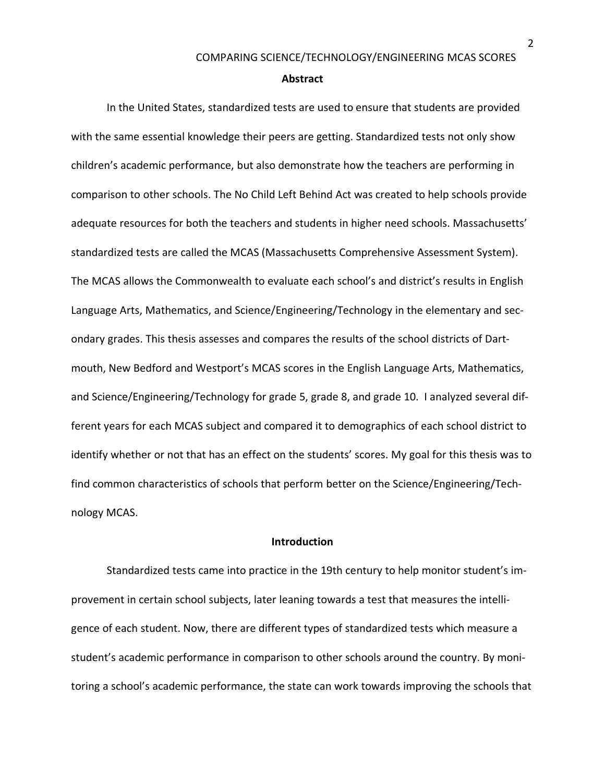#### **Abstract**

In the United States, standardized tests are used to ensure that students are provided with the same essential knowledge their peers are getting. Standardized tests not only show children's academic performance, but also demonstrate how the teachers are performing in comparison to other schools. The No Child Left Behind Act was created to help schools provide adequate resources for both the teachers and students in higher need schools. Massachusetts' standardized tests are called the MCAS (Massachusetts Comprehensive Assessment System). The MCAS allows the Commonwealth to evaluate each school's and district's results in English Language Arts, Mathematics, and Science/Engineering/Technology in the elementary and secondary grades. This thesis assesses and compares the results of the school districts of Dartmouth, New Bedford and Westport's MCAS scores in the English Language Arts, Mathematics, and Science/Engineering/Technology for grade 5, grade 8, and grade 10. I analyzed several different years for each MCAS subject and compared it to demographics of each school district to identify whether or not that has an effect on the students' scores. My goal for this thesis was to find common characteristics of schools that perform better on the Science/Engineering/Technology MCAS.

#### **Introduction**

Standardized tests came into practice in the 19th century to help monitor student's improvement in certain school subjects, later leaning towards a test that measures the intelligence of each student. Now, there are different types of standardized tests which measure a student's academic performance in comparison to other schools around the country. By monitoring a school's academic performance, the state can work towards improving the schools that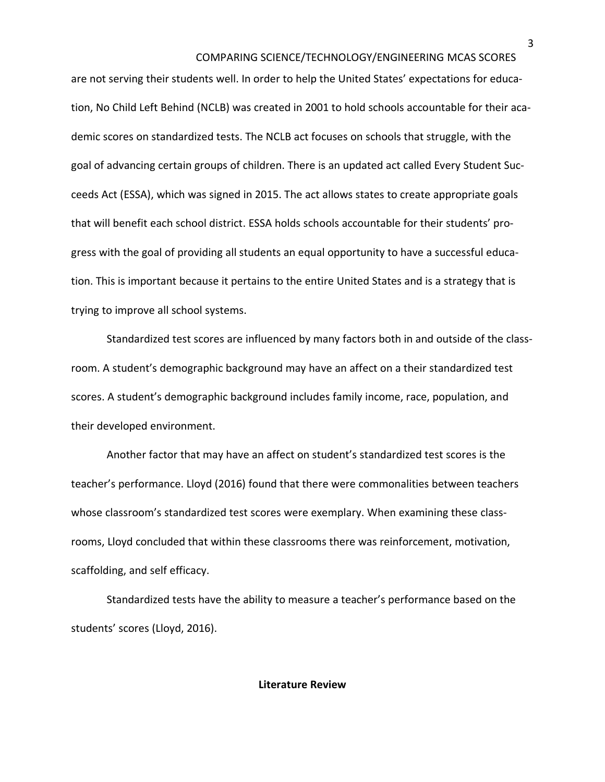are not serving their students well. In order to help the United States' expectations for education, No Child Left Behind (NCLB) was created in 2001 to hold schools accountable for their academic scores on standardized tests. The NCLB act focuses on schools that struggle, with the goal of advancing certain groups of children. There is an updated act called Every Student Succeeds Act (ESSA), which was signed in 2015. The act allows states to create appropriate goals that will benefit each school district. ESSA holds schools accountable for their students' progress with the goal of providing all students an equal opportunity to have a successful education. This is important because it pertains to the entire United States and is a strategy that is trying to improve all school systems.

Standardized test scores are influenced by many factors both in and outside of the classroom. A student's demographic background may have an affect on a their standardized test scores. A student's demographic background includes family income, race, population, and their developed environment.

Another factor that may have an affect on student's standardized test scores is the teacher's performance. Lloyd (2016) found that there were commonalities between teachers whose classroom's standardized test scores were exemplary. When examining these classrooms, Lloyd concluded that within these classrooms there was reinforcement, motivation, scaffolding, and self efficacy.

Standardized tests have the ability to measure a teacher's performance based on the students' scores (Lloyd, 2016).

#### **Literature Review**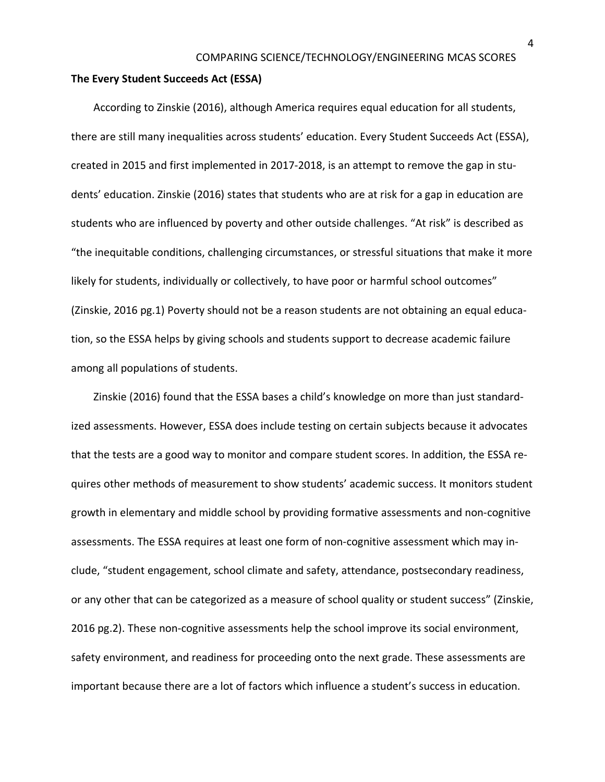#### **The Every Student Succeeds Act (ESSA)**

According to Zinskie (2016), although America requires equal education for all students, there are still many inequalities across students' education. Every Student Succeeds Act (ESSA), created in 2015 and first implemented in 2017-2018, is an attempt to remove the gap in students' education. Zinskie (2016) states that students who are at risk for a gap in education are students who are influenced by poverty and other outside challenges. "At risk" is described as "the inequitable conditions, challenging circumstances, or stressful situations that make it more likely for students, individually or collectively, to have poor or harmful school outcomes" (Zinskie, 2016 pg.1) Poverty should not be a reason students are not obtaining an equal education, so the ESSA helps by giving schools and students support to decrease academic failure among all populations of students.

Zinskie (2016) found that the ESSA bases a child's knowledge on more than just standardized assessments. However, ESSA does include testing on certain subjects because it advocates that the tests are a good way to monitor and compare student scores. In addition, the ESSA requires other methods of measurement to show students' academic success. It monitors student growth in elementary and middle school by providing formative assessments and non-cognitive assessments. The ESSA requires at least one form of non-cognitive assessment which may include, "student engagement, school climate and safety, attendance, postsecondary readiness, or any other that can be categorized as a measure of school quality or student success" (Zinskie, 2016 pg.2). These non-cognitive assessments help the school improve its social environment, safety environment, and readiness for proceeding onto the next grade. These assessments are important because there are a lot of factors which influence a student's success in education.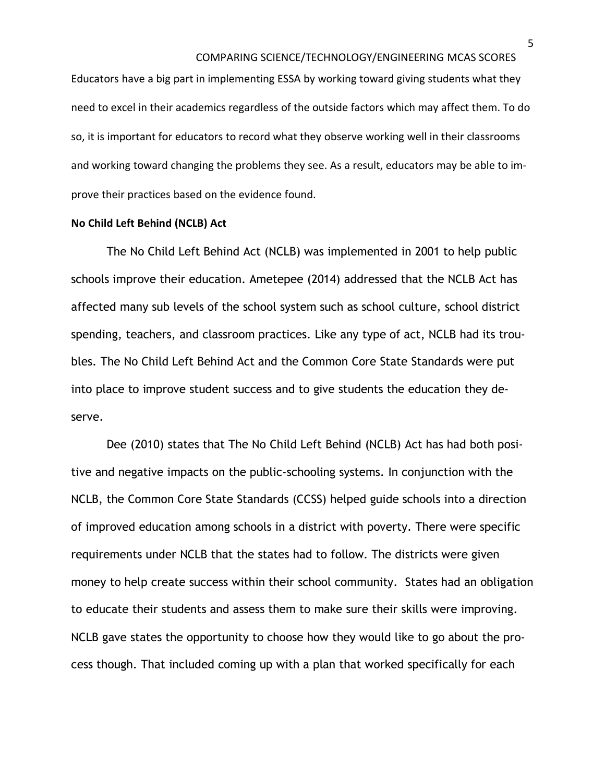Educators have a big part in implementing ESSA by working toward giving students what they need to excel in their academics regardless of the outside factors which may affect them. To do so, it is important for educators to record what they observe working well in their classrooms and working toward changing the problems they see. As a result, educators may be able to improve their practices based on the evidence found.

### **No Child Left Behind (NCLB) Act**

The No Child Left Behind Act (NCLB) was implemented in 2001 to help public schools improve their education. Ametepee (2014) addressed that the NCLB Act has affected many sub levels of the school system such as school culture, school district spending, teachers, and classroom practices. Like any type of act, NCLB had its troubles. The No Child Left Behind Act and the Common Core State Standards were put into place to improve student success and to give students the education they deserve.

Dee (2010) states that The No Child Left Behind (NCLB) Act has had both positive and negative impacts on the public-schooling systems. In conjunction with the NCLB, the Common Core State Standards (CCSS) helped guide schools into a direction of improved education among schools in a district with poverty. There were specific requirements under NCLB that the states had to follow. The districts were given money to help create success within their school community. States had an obligation to educate their students and assess them to make sure their skills were improving. NCLB gave states the opportunity to choose how they would like to go about the process though. That included coming up with a plan that worked specifically for each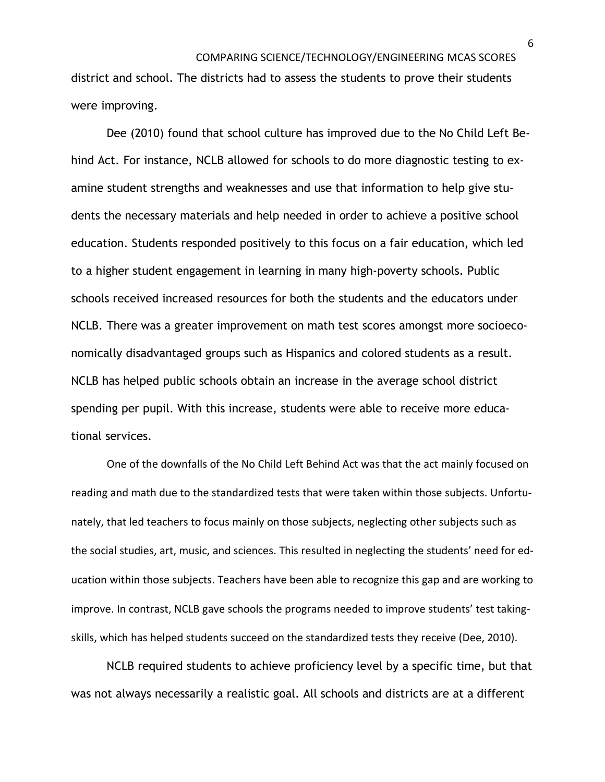district and school. The districts had to assess the students to prove their students were improving.

Dee (2010) found that school culture has improved due to the No Child Left Behind Act. For instance, NCLB allowed for schools to do more diagnostic testing to examine student strengths and weaknesses and use that information to help give students the necessary materials and help needed in order to achieve a positive school education. Students responded positively to this focus on a fair education, which led to a higher student engagement in learning in many high-poverty schools. Public schools received increased resources for both the students and the educators under NCLB. There was a greater improvement on math test scores amongst more socioeconomically disadvantaged groups such as Hispanics and colored students as a result. NCLB has helped public schools obtain an increase in the average school district spending per pupil. With this increase, students were able to receive more educational services.

One of the downfalls of the No Child Left Behind Act was that the act mainly focused on reading and math due to the standardized tests that were taken within those subjects. Unfortunately, that led teachers to focus mainly on those subjects, neglecting other subjects such as the social studies, art, music, and sciences. This resulted in neglecting the students' need for education within those subjects. Teachers have been able to recognize this gap and are working to improve. In contrast, NCLB gave schools the programs needed to improve students' test takingskills, which has helped students succeed on the standardized tests they receive (Dee, 2010).

NCLB required students to achieve proficiency level by a specific time, but that was not always necessarily a realistic goal. All schools and districts are at a different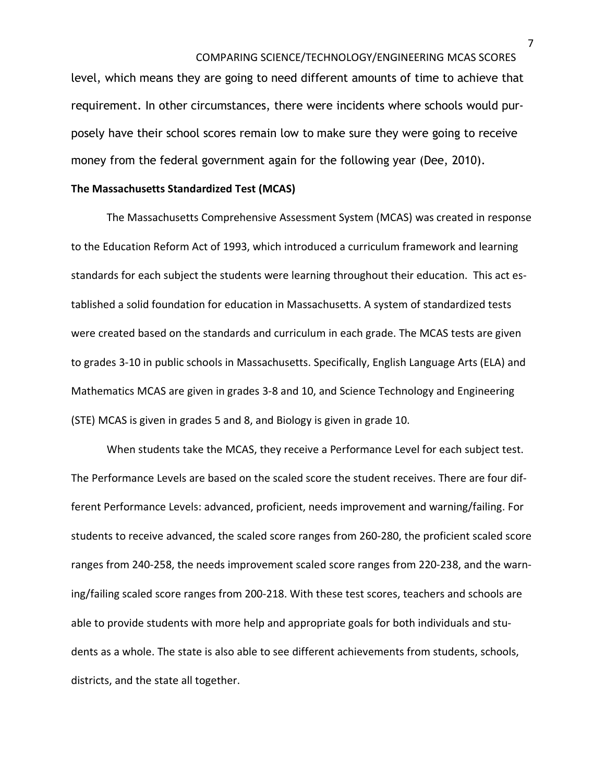level, which means they are going to need different amounts of time to achieve that requirement. In other circumstances, there were incidents where schools would purposely have their school scores remain low to make sure they were going to receive money from the federal government again for the following year (Dee, 2010).

#### **The Massachusetts Standardized Test (MCAS)**

The Massachusetts Comprehensive Assessment System (MCAS) was created in response to the Education Reform Act of 1993, which introduced a curriculum framework and learning standards for each subject the students were learning throughout their education. This act established a solid foundation for education in Massachusetts. A system of standardized tests were created based on the standards and curriculum in each grade. The MCAS tests are given to grades 3-10 in public schools in Massachusetts. Specifically, English Language Arts (ELA) and Mathematics MCAS are given in grades 3-8 and 10, and Science Technology and Engineering (STE) MCAS is given in grades 5 and 8, and Biology is given in grade 10.

When students take the MCAS, they receive a Performance Level for each subject test. The Performance Levels are based on the scaled score the student receives. There are four different Performance Levels: advanced, proficient, needs improvement and warning/failing. For students to receive advanced, the scaled score ranges from 260-280, the proficient scaled score ranges from 240-258, the needs improvement scaled score ranges from 220-238, and the warning/failing scaled score ranges from 200-218. With these test scores, teachers and schools are able to provide students with more help and appropriate goals for both individuals and students as a whole. The state is also able to see different achievements from students, schools, districts, and the state all together.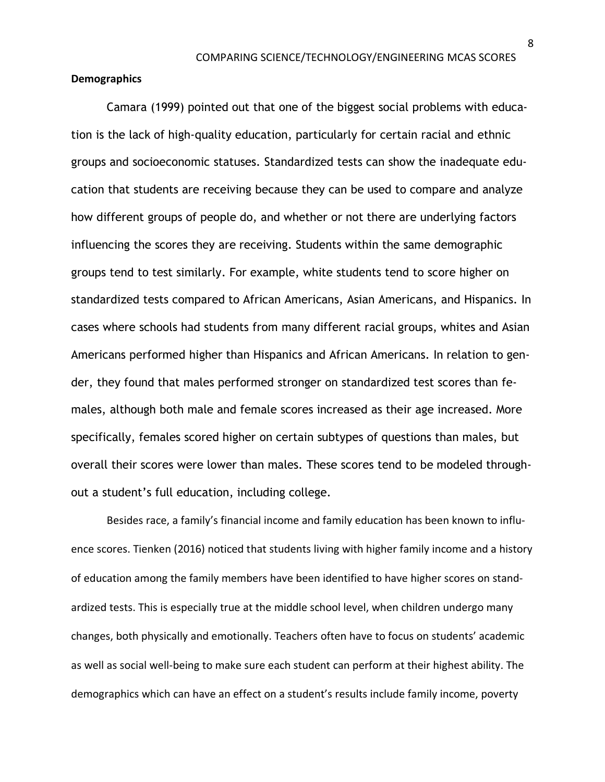#### **Demographics**

Camara (1999) pointed out that one of the biggest social problems with education is the lack of high-quality education, particularly for certain racial and ethnic groups and socioeconomic statuses. Standardized tests can show the inadequate education that students are receiving because they can be used to compare and analyze how different groups of people do, and whether or not there are underlying factors influencing the scores they are receiving. Students within the same demographic groups tend to test similarly. For example, white students tend to score higher on standardized tests compared to African Americans, Asian Americans, and Hispanics. In cases where schools had students from many different racial groups, whites and Asian Americans performed higher than Hispanics and African Americans. In relation to gender, they found that males performed stronger on standardized test scores than females, although both male and female scores increased as their age increased. More specifically, females scored higher on certain subtypes of questions than males, but overall their scores were lower than males. These scores tend to be modeled throughout a student's full education, including college.

Besides race, a family's financial income and family education has been known to influence scores. Tienken (2016) noticed that students living with higher family income and a history of education among the family members have been identified to have higher scores on standardized tests. This is especially true at the middle school level, when children undergo many changes, both physically and emotionally. Teachers often have to focus on students' academic as well as social well-being to make sure each student can perform at their highest ability. The demographics which can have an effect on a student's results include family income, poverty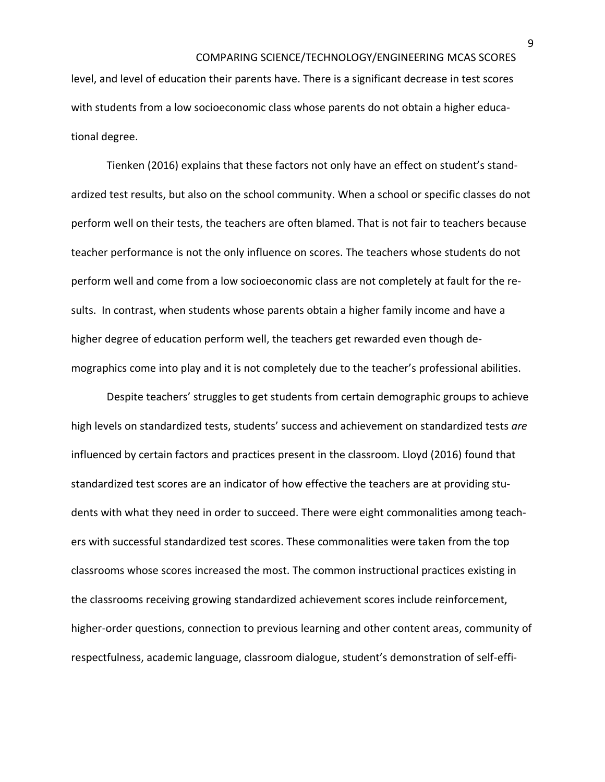level, and level of education their parents have. There is a significant decrease in test scores with students from a low socioeconomic class whose parents do not obtain a higher educational degree.

Tienken (2016) explains that these factors not only have an effect on student's standardized test results, but also on the school community. When a school or specific classes do not perform well on their tests, the teachers are often blamed. That is not fair to teachers because teacher performance is not the only influence on scores. The teachers whose students do not perform well and come from a low socioeconomic class are not completely at fault for the results. In contrast, when students whose parents obtain a higher family income and have a higher degree of education perform well, the teachers get rewarded even though demographics come into play and it is not completely due to the teacher's professional abilities.

Despite teachers' struggles to get students from certain demographic groups to achieve high levels on standardized tests, students' success and achievement on standardized tests *are* influenced by certain factors and practices present in the classroom. Lloyd (2016) found that standardized test scores are an indicator of how effective the teachers are at providing students with what they need in order to succeed. There were eight commonalities among teachers with successful standardized test scores. These commonalities were taken from the top classrooms whose scores increased the most. The common instructional practices existing in the classrooms receiving growing standardized achievement scores include reinforcement, higher-order questions, connection to previous learning and other content areas, community of respectfulness, academic language, classroom dialogue, student's demonstration of self-effi-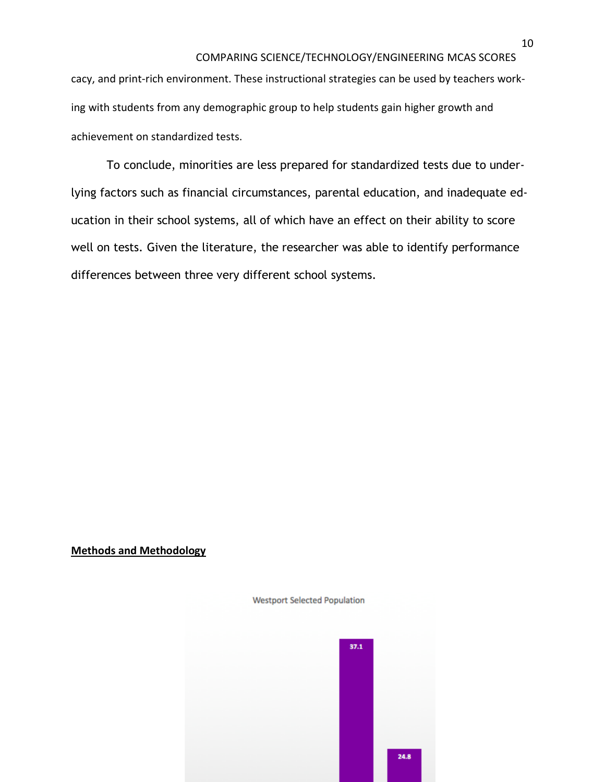cacy, and print-rich environment. These instructional strategies can be used by teachers working with students from any demographic group to help students gain higher growth and achievement on standardized tests.

To conclude, minorities are less prepared for standardized tests due to underlying factors such as financial circumstances, parental education, and inadequate education in their school systems, all of which have an effect on their ability to score well on tests. Given the literature, the researcher was able to identify performance differences between three very different school systems.

### **Methods and Methodology**



**Westport Selected Population**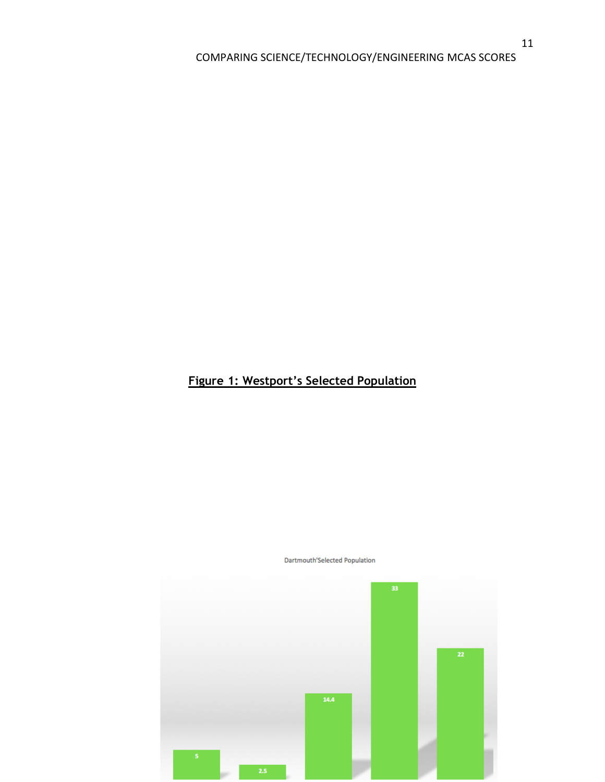## **Figure 1: Westport's Selected Population**



Dartmouth'Selected Population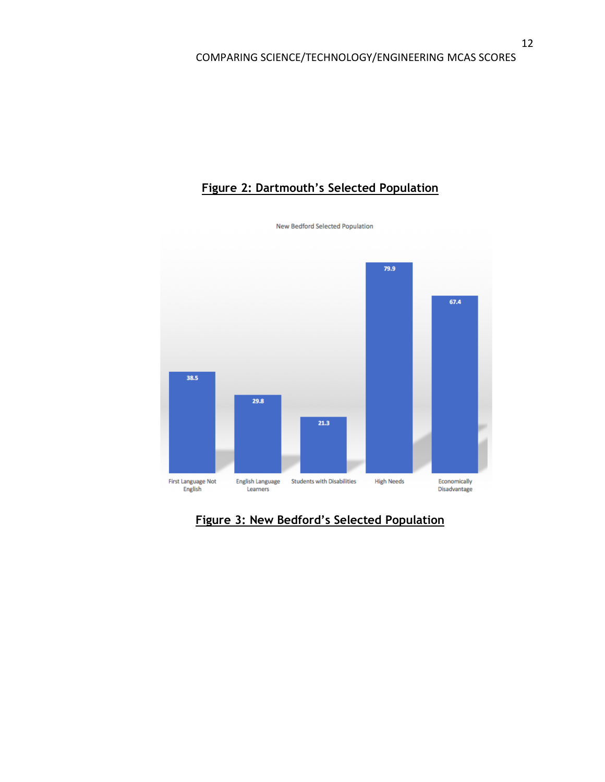## **Figure 2: Dartmouth's Selected Population**



**Figure 3: New Bedford's Selected Population**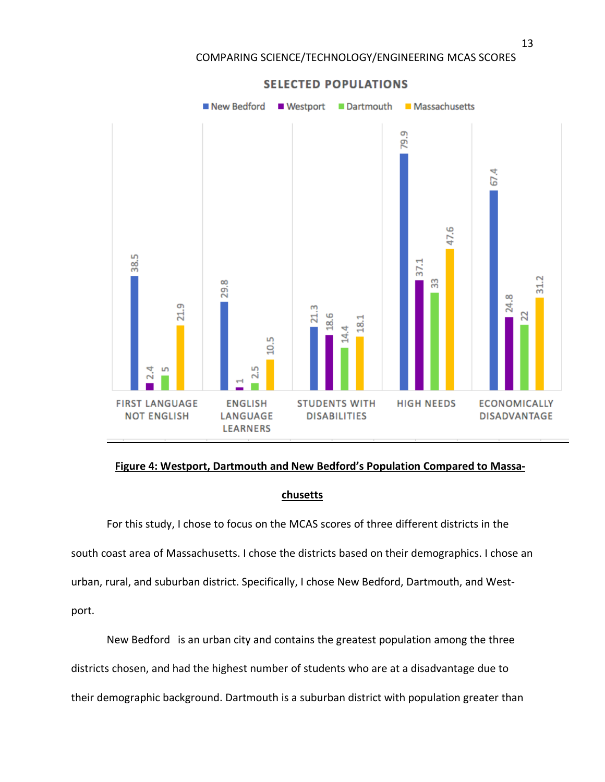

#### **Figure 4: Westport, Dartmouth and New Bedford's Population Compared to Massa-**

#### **chusetts**

For this study, I chose to focus on the MCAS scores of three different districts in the south coast area of Massachusetts. I chose the districts based on their demographics. I chose an urban, rural, and suburban district. Specifically, I chose New Bedford, Dartmouth, and Westport.

New Bedford is an urban city and contains the greatest population among the three districts chosen, and had the highest number of students who are at a disadvantage due to their demographic background. Dartmouth is a suburban district with population greater than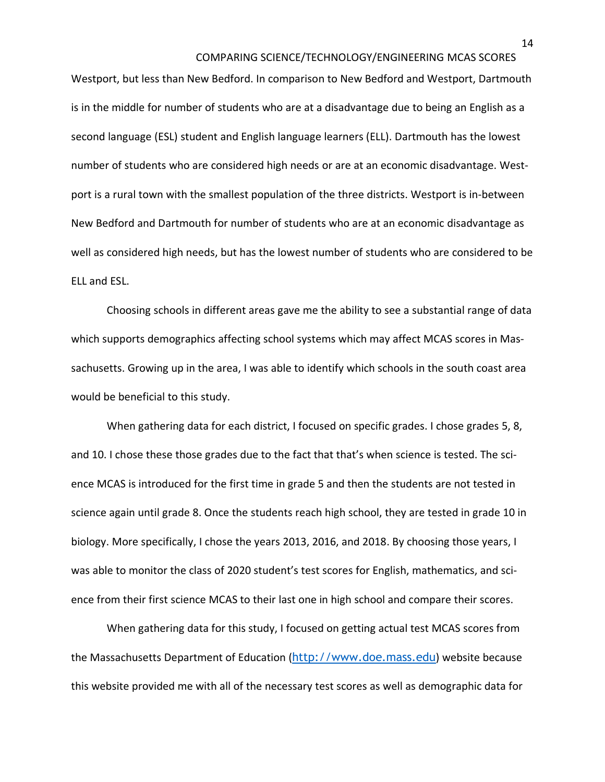Westport, but less than New Bedford. In comparison to New Bedford and Westport, Dartmouth is in the middle for number of students who are at a disadvantage due to being an English as a second language (ESL) student and English language learners (ELL). Dartmouth has the lowest number of students who are considered high needs or are at an economic disadvantage. Westport is a rural town with the smallest population of the three districts. Westport is in-between New Bedford and Dartmouth for number of students who are at an economic disadvantage as well as considered high needs, but has the lowest number of students who are considered to be ELL and ESL.

Choosing schools in different areas gave me the ability to see a substantial range of data which supports demographics affecting school systems which may affect MCAS scores in Massachusetts. Growing up in the area, I was able to identify which schools in the south coast area would be beneficial to this study.

When gathering data for each district, I focused on specific grades. I chose grades 5, 8, and 10. I chose these those grades due to the fact that that's when science is tested. The science MCAS is introduced for the first time in grade 5 and then the students are not tested in science again until grade 8. Once the students reach high school, they are tested in grade 10 in biology. More specifically, I chose the years 2013, 2016, and 2018. By choosing those years, I was able to monitor the class of 2020 student's test scores for English, mathematics, and science from their first science MCAS to their last one in high school and compare their scores.

When gathering data for this study, I focused on getting actual test MCAS scores from the Massachusetts Department of Education ([http://www.doe.mass.edu](http://www.doe.mass.edu/)) website because this website provided me with all of the necessary test scores as well as demographic data for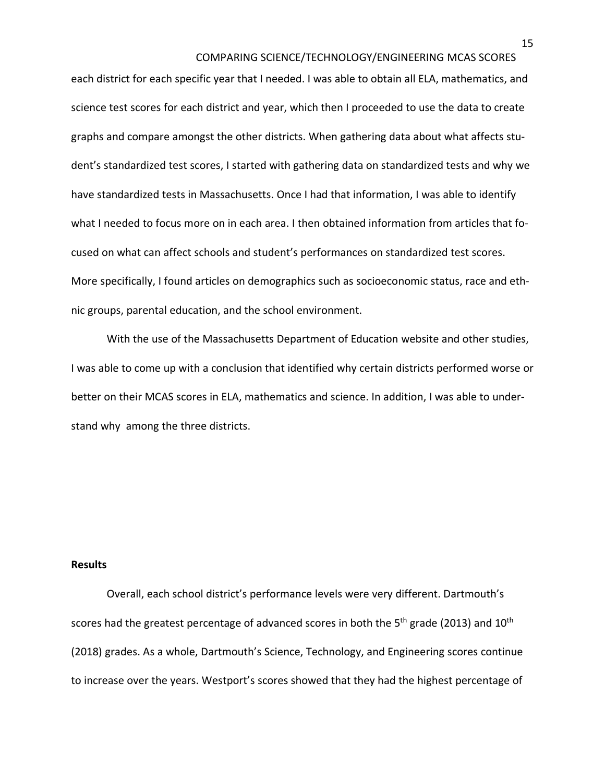each district for each specific year that I needed. I was able to obtain all ELA, mathematics, and science test scores for each district and year, which then I proceeded to use the data to create graphs and compare amongst the other districts. When gathering data about what affects student's standardized test scores, I started with gathering data on standardized tests and why we have standardized tests in Massachusetts. Once I had that information, I was able to identify what I needed to focus more on in each area. I then obtained information from articles that focused on what can affect schools and student's performances on standardized test scores. More specifically, I found articles on demographics such as socioeconomic status, race and ethnic groups, parental education, and the school environment.

With the use of the Massachusetts Department of Education website and other studies, I was able to come up with a conclusion that identified why certain districts performed worse or better on their MCAS scores in ELA, mathematics and science. In addition, I was able to understand why among the three districts.

#### **Results**

Overall, each school district's performance levels were very different. Dartmouth's scores had the greatest percentage of advanced scores in both the 5<sup>th</sup> grade (2013) and  $10^{\text{th}}$ (2018) grades. As a whole, Dartmouth's Science, Technology, and Engineering scores continue to increase over the years. Westport's scores showed that they had the highest percentage of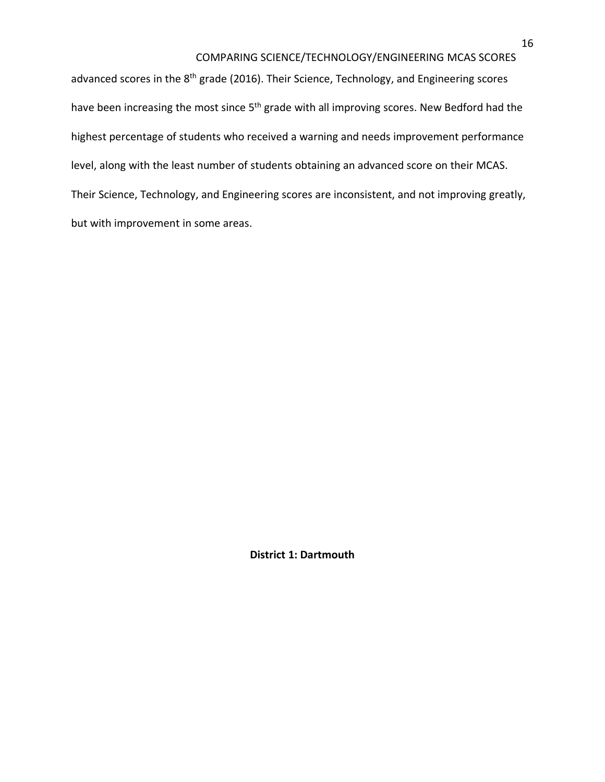advanced scores in the 8<sup>th</sup> grade (2016). Their Science, Technology, and Engineering scores have been increasing the most since 5<sup>th</sup> grade with all improving scores. New Bedford had the highest percentage of students who received a warning and needs improvement performance level, along with the least number of students obtaining an advanced score on their MCAS. Their Science, Technology, and Engineering scores are inconsistent, and not improving greatly, but with improvement in some areas.

**District 1: Dartmouth**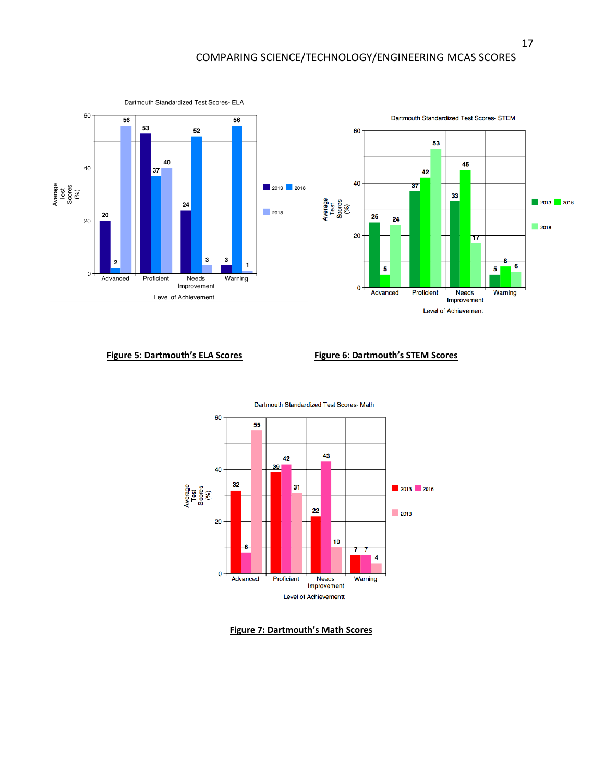

#### **Figure 5: Dartmouth's ELA Scores Figure 6: Dartmouth's STEM Scores**



#### **Figure 7: Dartmouth's Math Scores**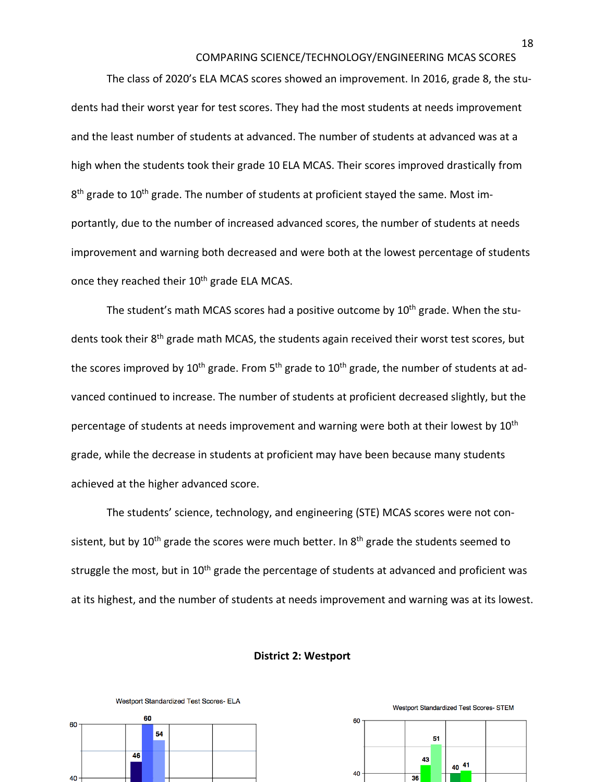The class of 2020's ELA MCAS scores showed an improvement. In 2016, grade 8, the students had their worst year for test scores. They had the most students at needs improvement and the least number of students at advanced. The number of students at advanced was at a high when the students took their grade 10 ELA MCAS. Their scores improved drastically from 8<sup>th</sup> grade to 10<sup>th</sup> grade. The number of students at proficient stayed the same. Most importantly, due to the number of increased advanced scores, the number of students at needs improvement and warning both decreased and were both at the lowest percentage of students once they reached their 10<sup>th</sup> grade ELA MCAS.

The student's math MCAS scores had a positive outcome by  $10<sup>th</sup>$  grade. When the students took their 8<sup>th</sup> grade math MCAS, the students again received their worst test scores, but the scores improved by 10<sup>th</sup> grade. From 5<sup>th</sup> grade to 10<sup>th</sup> grade, the number of students at advanced continued to increase. The number of students at proficient decreased slightly, but the percentage of students at needs improvement and warning were both at their lowest by 10<sup>th</sup> grade, while the decrease in students at proficient may have been because many students achieved at the higher advanced score.

The students' science, technology, and engineering (STE) MCAS scores were not consistent, but by 10<sup>th</sup> grade the scores were much better. In 8<sup>th</sup> grade the students seemed to struggle the most, but in  $10<sup>th</sup>$  grade the percentage of students at advanced and proficient was at its highest, and the number of students at needs improvement and warning was at its lowest.

#### **District 2: Westport**





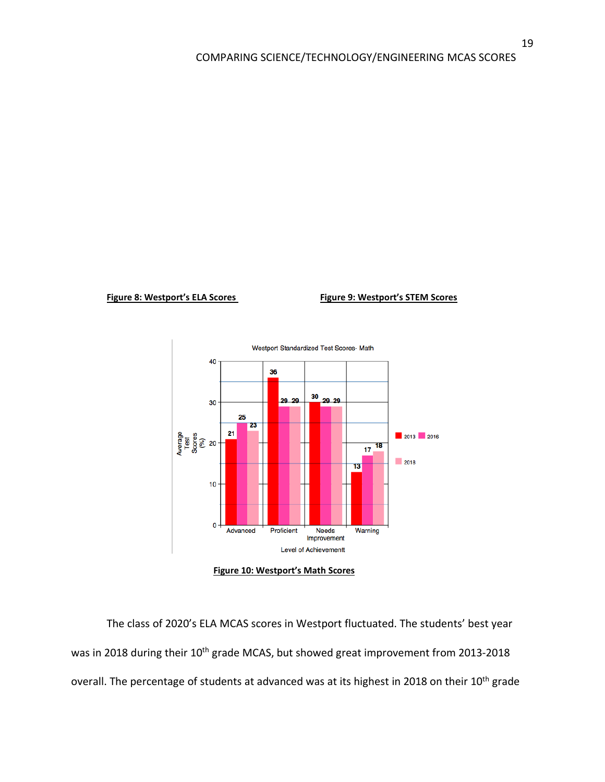#### **Figure 8: Westport's ELA Scores Figure 9: Westport's STEM Scores**



**Figure 10: Westport's Math Scores** 

The class of 2020's ELA MCAS scores in Westport fluctuated. The students' best year was in 2018 during their 10<sup>th</sup> grade MCAS, but showed great improvement from 2013-2018 overall. The percentage of students at advanced was at its highest in 2018 on their 10<sup>th</sup> grade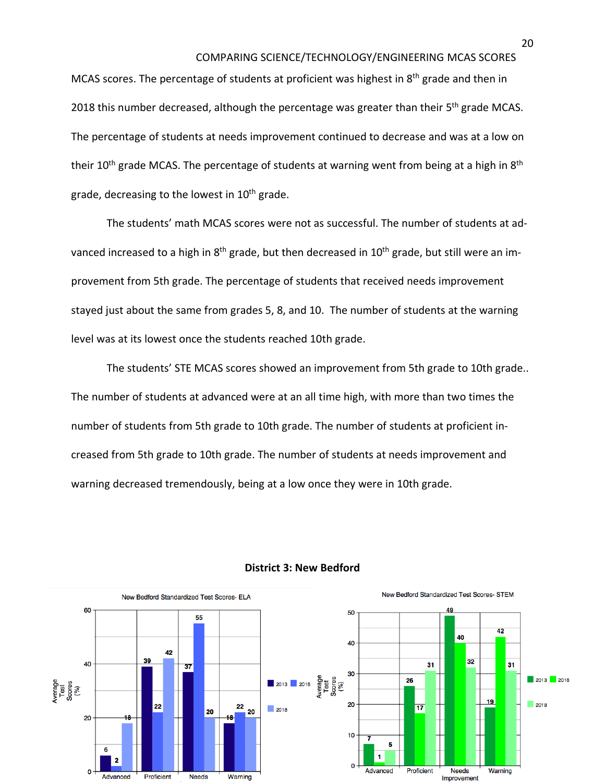MCAS scores. The percentage of students at proficient was highest in 8<sup>th</sup> grade and then in 2018 this number decreased, although the percentage was greater than their 5<sup>th</sup> grade MCAS. The percentage of students at needs improvement continued to decrease and was at a low on their 10<sup>th</sup> grade MCAS. The percentage of students at warning went from being at a high in 8<sup>th</sup> grade, decreasing to the lowest in  $10^{th}$  grade.

The students' math MCAS scores were not as successful. The number of students at advanced increased to a high in 8<sup>th</sup> grade, but then decreased in 10<sup>th</sup> grade, but still were an improvement from 5th grade. The percentage of students that received needs improvement stayed just about the same from grades 5, 8, and 10. The number of students at the warning level was at its lowest once the students reached 10th grade.

The students' STE MCAS scores showed an improvement from 5th grade to 10th grade.. The number of students at advanced were at an all time high, with more than two times the number of students from 5th grade to 10th grade. The number of students at proficient increased from 5th grade to 10th grade. The number of students at needs improvement and warning decreased tremendously, being at a low once they were in 10th grade.



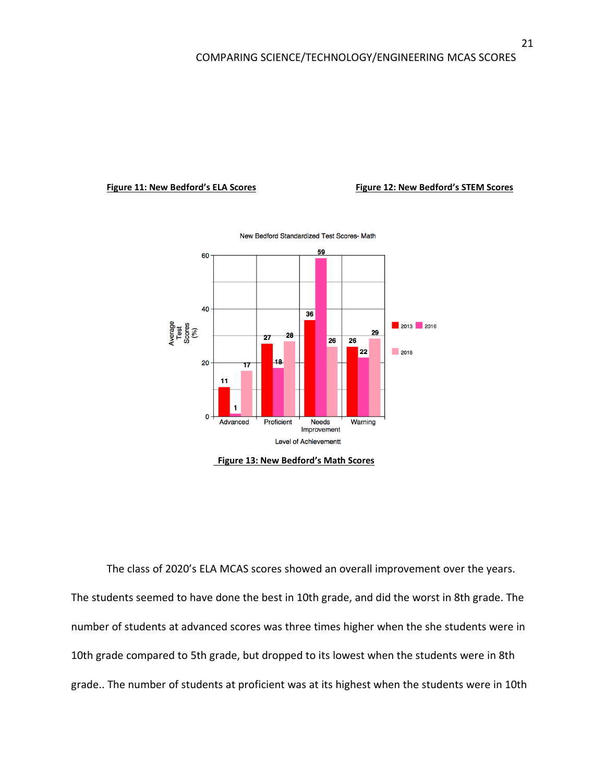#### **Figure 11: New Bedford's ELA Scores Figure 12: New Bedford's STEM Scores**



New Bedford Standardized Test Scores- Math

The class of 2020's ELA MCAS scores showed an overall improvement over the years. The students seemed to have done the best in 10th grade, and did the worst in 8th grade. The number of students at advanced scores was three times higher when the she students were in 10th grade compared to 5th grade, but dropped to its lowest when the students were in 8th grade.. The number of students at proficient was at its highest when the students were in 10th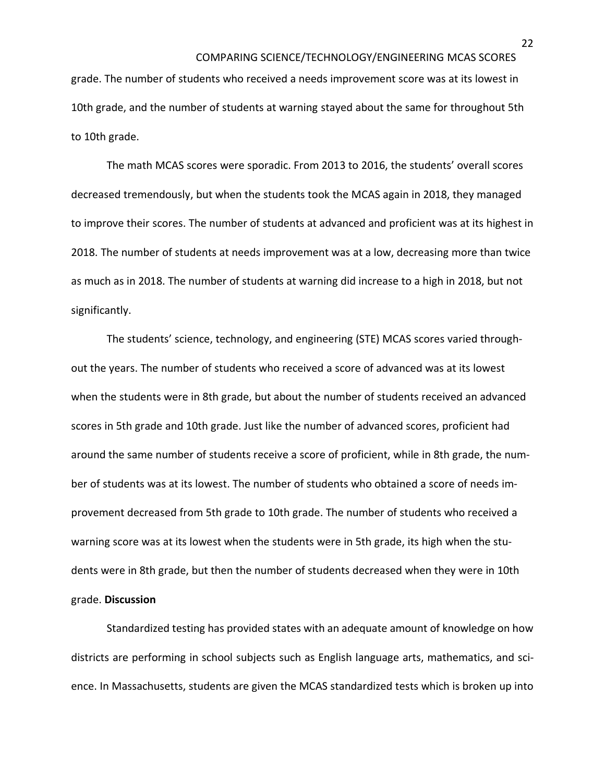grade. The number of students who received a needs improvement score was at its lowest in 10th grade, and the number of students at warning stayed about the same for throughout 5th to 10th grade.

The math MCAS scores were sporadic. From 2013 to 2016, the students' overall scores decreased tremendously, but when the students took the MCAS again in 2018, they managed to improve their scores. The number of students at advanced and proficient was at its highest in 2018. The number of students at needs improvement was at a low, decreasing more than twice as much as in 2018. The number of students at warning did increase to a high in 2018, but not significantly.

The students' science, technology, and engineering (STE) MCAS scores varied throughout the years. The number of students who received a score of advanced was at its lowest when the students were in 8th grade, but about the number of students received an advanced scores in 5th grade and 10th grade. Just like the number of advanced scores, proficient had around the same number of students receive a score of proficient, while in 8th grade, the number of students was at its lowest. The number of students who obtained a score of needs improvement decreased from 5th grade to 10th grade. The number of students who received a warning score was at its lowest when the students were in 5th grade, its high when the students were in 8th grade, but then the number of students decreased when they were in 10th grade. **Discussion**

Standardized testing has provided states with an adequate amount of knowledge on how districts are performing in school subjects such as English language arts, mathematics, and science. In Massachusetts, students are given the MCAS standardized tests which is broken up into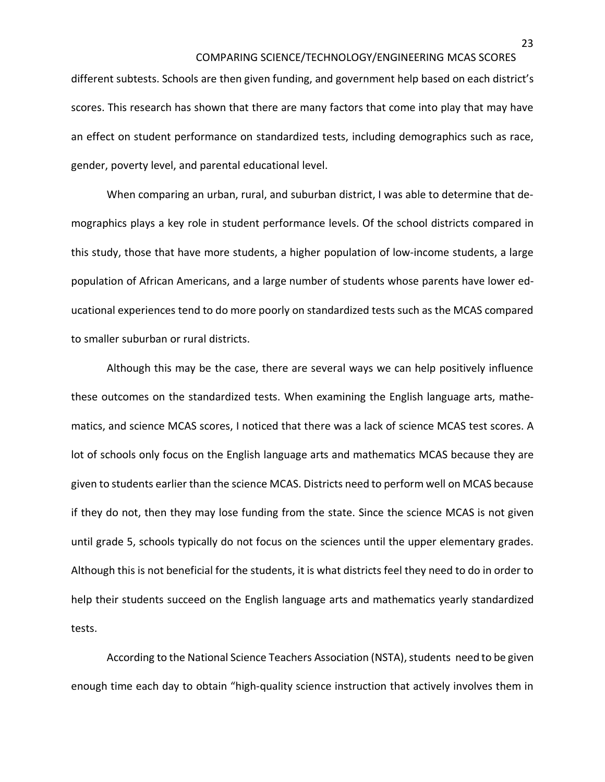different subtests. Schools are then given funding, and government help based on each district's scores. This research has shown that there are many factors that come into play that may have an effect on student performance on standardized tests, including demographics such as race, gender, poverty level, and parental educational level.

When comparing an urban, rural, and suburban district, I was able to determine that demographics plays a key role in student performance levels. Of the school districts compared in this study, those that have more students, a higher population of low-income students, a large population of African Americans, and a large number of students whose parents have lower educational experiences tend to do more poorly on standardized tests such as the MCAS compared to smaller suburban or rural districts.

Although this may be the case, there are several ways we can help positively influence these outcomes on the standardized tests. When examining the English language arts, mathematics, and science MCAS scores, I noticed that there was a lack of science MCAS test scores. A lot of schools only focus on the English language arts and mathematics MCAS because they are given to students earlier than the science MCAS. Districts need to perform well on MCAS because if they do not, then they may lose funding from the state. Since the science MCAS is not given until grade 5, schools typically do not focus on the sciences until the upper elementary grades. Although this is not beneficial for the students, it is what districts feel they need to do in order to help their students succeed on the English language arts and mathematics yearly standardized tests.

According to the National Science Teachers Association (NSTA), students need to be given enough time each day to obtain "high-quality science instruction that actively involves them in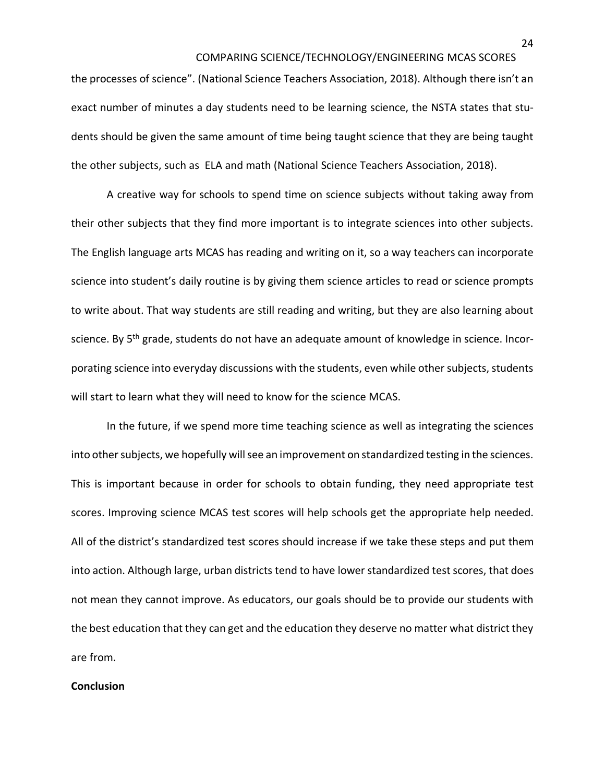the processes of science". (National Science Teachers Association, 2018). Although there isn't an exact number of minutes a day students need to be learning science, the NSTA states that students should be given the same amount of time being taught science that they are being taught the other subjects, such as ELA and math (National Science Teachers Association, 2018).

A creative way for schools to spend time on science subjects without taking away from their other subjects that they find more important is to integrate sciences into other subjects. The English language arts MCAS has reading and writing on it, so a way teachers can incorporate science into student's daily routine is by giving them science articles to read or science prompts to write about. That way students are still reading and writing, but they are also learning about science. By 5<sup>th</sup> grade, students do not have an adequate amount of knowledge in science. Incorporating science into everyday discussions with the students, even while other subjects, students will start to learn what they will need to know for the science MCAS.

In the future, if we spend more time teaching science as well as integrating the sciences into other subjects, we hopefully will see an improvement on standardized testing in the sciences. This is important because in order for schools to obtain funding, they need appropriate test scores. Improving science MCAS test scores will help schools get the appropriate help needed. All of the district's standardized test scores should increase if we take these steps and put them into action. Although large, urban districts tend to have lower standardized test scores, that does not mean they cannot improve. As educators, our goals should be to provide our students with the best education that they can get and the education they deserve no matter what district they are from.

#### **Conclusion**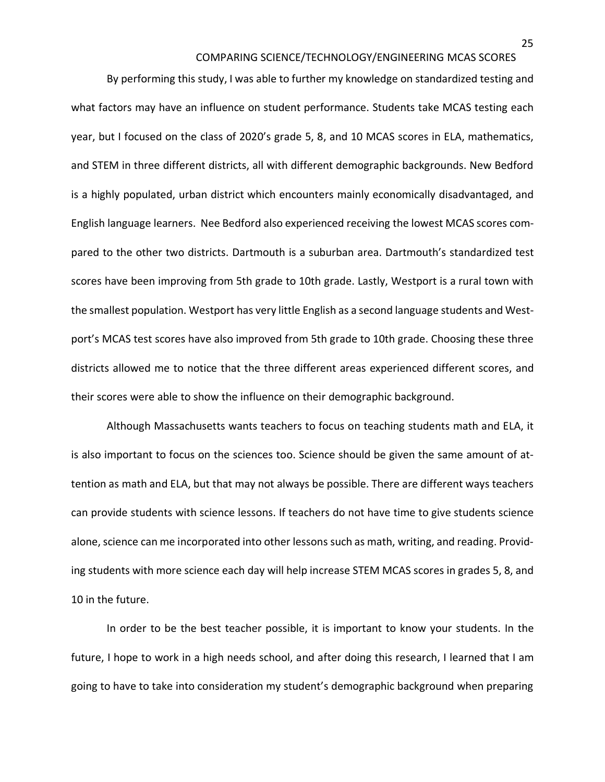By performing this study, I was able to further my knowledge on standardized testing and what factors may have an influence on student performance. Students take MCAS testing each year, but I focused on the class of 2020's grade 5, 8, and 10 MCAS scores in ELA, mathematics, and STEM in three different districts, all with different demographic backgrounds. New Bedford is a highly populated, urban district which encounters mainly economically disadvantaged, and English language learners. Nee Bedford also experienced receiving the lowest MCAS scores compared to the other two districts. Dartmouth is a suburban area. Dartmouth's standardized test scores have been improving from 5th grade to 10th grade. Lastly, Westport is a rural town with the smallest population. Westport has very little English as a second language students and Westport's MCAS test scores have also improved from 5th grade to 10th grade. Choosing these three districts allowed me to notice that the three different areas experienced different scores, and their scores were able to show the influence on their demographic background.

Although Massachusetts wants teachers to focus on teaching students math and ELA, it is also important to focus on the sciences too. Science should be given the same amount of attention as math and ELA, but that may not always be possible. There are different ways teachers can provide students with science lessons. If teachers do not have time to give students science alone, science can me incorporated into other lessons such as math, writing, and reading. Providing students with more science each day will help increase STEM MCAS scores in grades 5, 8, and 10 in the future.

In order to be the best teacher possible, it is important to know your students. In the future, I hope to work in a high needs school, and after doing this research, I learned that I am going to have to take into consideration my student's demographic background when preparing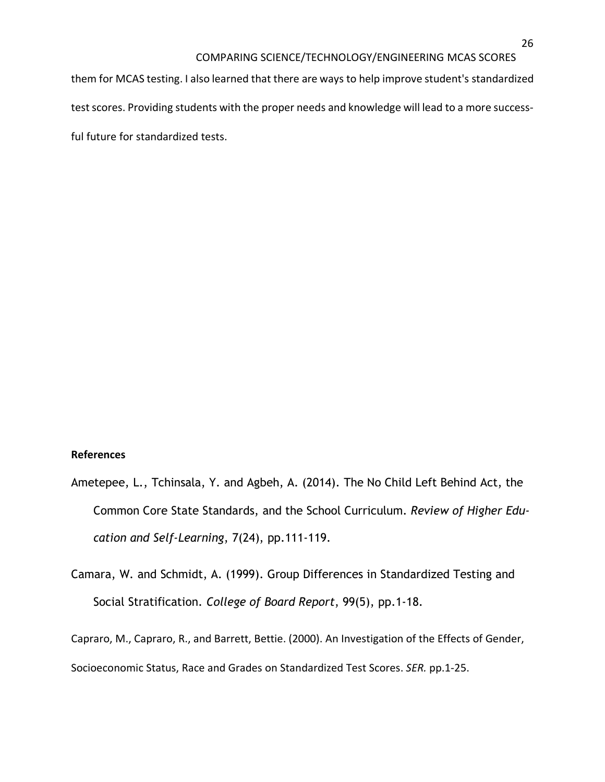them for MCAS testing. I also learned that there are ways to help improve student's standardized test scores. Providing students with the proper needs and knowledge will lead to a more successful future for standardized tests.

### **References**

- Ametepee, L., Tchinsala, Y. and Agbeh, A. (2014). The No Child Left Behind Act, the Common Core State Standards, and the School Curriculum. *Review of Higher Education and Self-Learning*, 7(24), pp.111-119.
- Camara, W. and Schmidt, A. (1999). Group Differences in Standardized Testing and Social Stratification. *College of Board Report*, 99(5), pp.1-18.

Capraro, M., Capraro, R., and Barrett, Bettie. (2000). An Investigation of the Effects of Gender, Socioeconomic Status, Race and Grades on Standardized Test Scores. *SER.* pp.1-25.